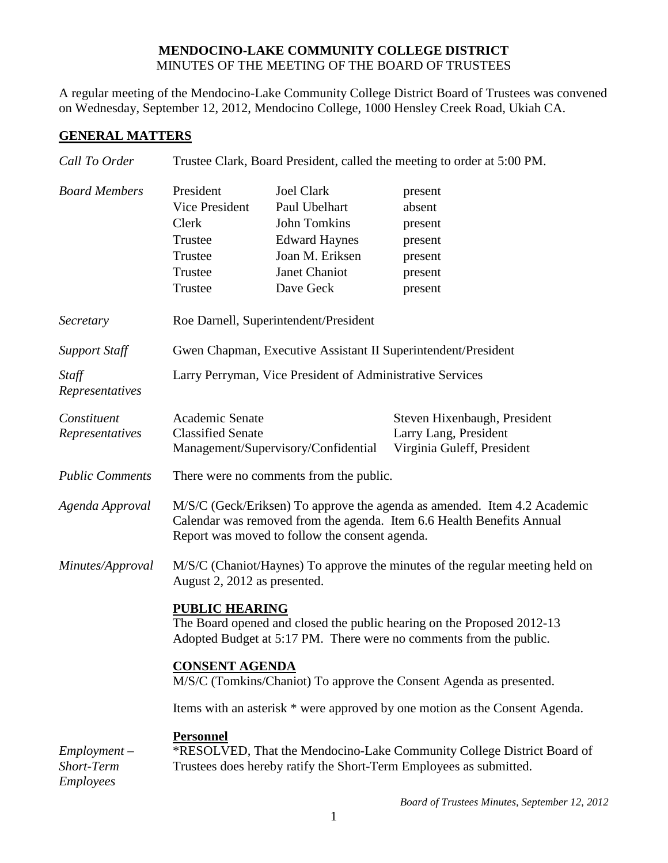## **MENDOCINO-LAKE COMMUNITY COLLEGE DISTRICT** MINUTES OF THE MEETING OF THE BOARD OF TRUSTEES

A regular meeting of the Mendocino-Lake Community College District Board of Trustees was convened on Wednesday, September 12, 2012, Mendocino College, 1000 Hensley Creek Road, Ukiah CA.

## **GENERAL MATTERS**

| Call To Order                             | Trustee Clark, Board President, called the meeting to order at 5:00 PM.                                                                                                                             |                                                                                                                             |                                                                                     |  |
|-------------------------------------------|-----------------------------------------------------------------------------------------------------------------------------------------------------------------------------------------------------|-----------------------------------------------------------------------------------------------------------------------------|-------------------------------------------------------------------------------------|--|
| <b>Board Members</b>                      | President<br>Vice President<br>Clerk<br>Trustee<br>Trustee<br>Trustee<br>Trustee                                                                                                                    | <b>Joel Clark</b><br>Paul Ubelhart<br>John Tomkins<br><b>Edward Haynes</b><br>Joan M. Eriksen<br>Janet Chaniot<br>Dave Geck | present<br>absent<br>present<br>present<br>present<br>present<br>present            |  |
| Secretary                                 | Roe Darnell, Superintendent/President                                                                                                                                                               |                                                                                                                             |                                                                                     |  |
| <b>Support Staff</b>                      | Gwen Chapman, Executive Assistant II Superintendent/President                                                                                                                                       |                                                                                                                             |                                                                                     |  |
| Staff<br>Representatives                  | Larry Perryman, Vice President of Administrative Services                                                                                                                                           |                                                                                                                             |                                                                                     |  |
| Constituent<br>Representatives            | Academic Senate<br><b>Classified Senate</b>                                                                                                                                                         | Management/Supervisory/Confidential                                                                                         | Steven Hixenbaugh, President<br>Larry Lang, President<br>Virginia Guleff, President |  |
| <b>Public Comments</b>                    | There were no comments from the public.                                                                                                                                                             |                                                                                                                             |                                                                                     |  |
| Agenda Approval                           | M/S/C (Geck/Eriksen) To approve the agenda as amended. Item 4.2 Academic<br>Calendar was removed from the agenda. Item 6.6 Health Benefits Annual<br>Report was moved to follow the consent agenda. |                                                                                                                             |                                                                                     |  |
| Minutes/Approval                          | August 2, 2012 as presented.                                                                                                                                                                        |                                                                                                                             | M/S/C (Chaniot/Haynes) To approve the minutes of the regular meeting held on        |  |
|                                           | <b>PUBLIC HEARING</b><br>The Board opened and closed the public hearing on the Proposed 2012-13<br>Adopted Budget at 5:17 PM. There were no comments from the public.                               |                                                                                                                             |                                                                                     |  |
|                                           | <b>CONSENT AGENDA</b>                                                                                                                                                                               |                                                                                                                             | M/S/C (Tomkins/Chaniot) To approve the Consent Agenda as presented.                 |  |
|                                           |                                                                                                                                                                                                     |                                                                                                                             | Items with an asterisk * were approved by one motion as the Consent Agenda.         |  |
| $Employment -$<br>Short-Term<br>Employees | <b>Personnel</b><br>*RESOLVED, That the Mendocino-Lake Community College District Board of<br>Trustees does hereby ratify the Short-Term Employees as submitted.                                    |                                                                                                                             |                                                                                     |  |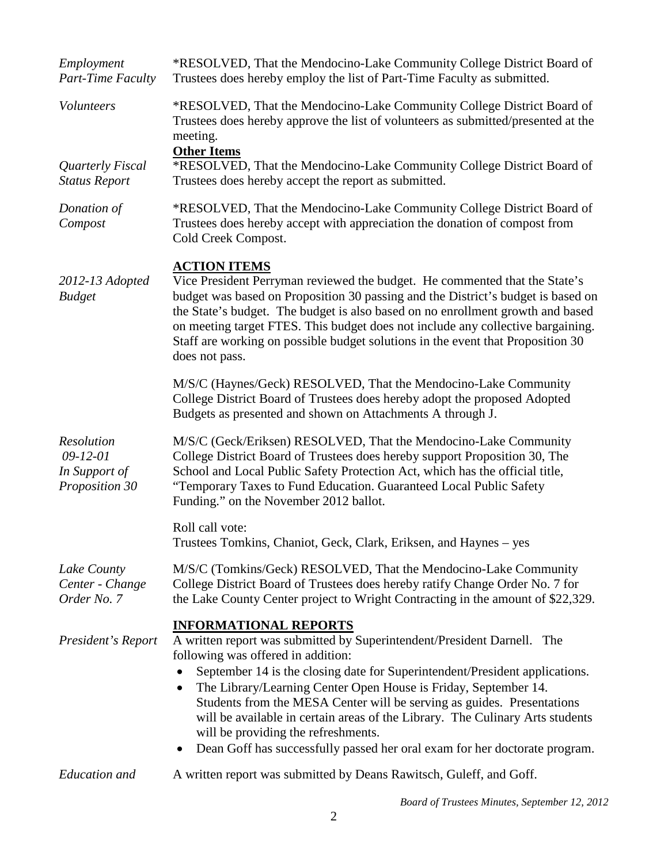| Employment<br>Part-Time Faculty                                        | *RESOLVED, That the Mendocino-Lake Community College District Board of<br>Trustees does hereby employ the list of Part-Time Faculty as submitted.                                                                                                                                                                                                                                                                                                                                                                                                                                                         |
|------------------------------------------------------------------------|-----------------------------------------------------------------------------------------------------------------------------------------------------------------------------------------------------------------------------------------------------------------------------------------------------------------------------------------------------------------------------------------------------------------------------------------------------------------------------------------------------------------------------------------------------------------------------------------------------------|
| Volunteers<br>Quarterly Fiscal<br><b>Status Report</b>                 | *RESOLVED, That the Mendocino-Lake Community College District Board of<br>Trustees does hereby approve the list of volunteers as submitted/presented at the<br>meeting.<br><b>Other Items</b><br>*RESOLVED, That the Mendocino-Lake Community College District Board of<br>Trustees does hereby accept the report as submitted.                                                                                                                                                                                                                                                                           |
| Donation of<br>Compost                                                 | *RESOLVED, That the Mendocino-Lake Community College District Board of<br>Trustees does hereby accept with appreciation the donation of compost from<br>Cold Creek Compost.                                                                                                                                                                                                                                                                                                                                                                                                                               |
| 2012-13 Adopted<br><b>Budget</b>                                       | <b>ACTION ITEMS</b><br>Vice President Perryman reviewed the budget. He commented that the State's<br>budget was based on Proposition 30 passing and the District's budget is based on<br>the State's budget. The budget is also based on no enrollment growth and based<br>on meeting target FTES. This budget does not include any collective bargaining.<br>Staff are working on possible budget solutions in the event that Proposition 30<br>does not pass.                                                                                                                                           |
|                                                                        | M/S/C (Haynes/Geck) RESOLVED, That the Mendocino-Lake Community<br>College District Board of Trustees does hereby adopt the proposed Adopted<br>Budgets as presented and shown on Attachments A through J.                                                                                                                                                                                                                                                                                                                                                                                                |
| <b>Resolution</b><br>$09 - 12 - 01$<br>In Support of<br>Proposition 30 | M/S/C (Geck/Eriksen) RESOLVED, That the Mendocino-Lake Community<br>College District Board of Trustees does hereby support Proposition 30, The<br>School and Local Public Safety Protection Act, which has the official title,<br>"Temporary Taxes to Fund Education. Guaranteed Local Public Safety<br>Funding." on the November 2012 ballot.                                                                                                                                                                                                                                                            |
|                                                                        | Roll call vote:<br>Trustees Tomkins, Chaniot, Geck, Clark, Eriksen, and Haynes - yes                                                                                                                                                                                                                                                                                                                                                                                                                                                                                                                      |
| Lake County<br>Center - Change<br>Order No. 7                          | M/S/C (Tomkins/Geck) RESOLVED, That the Mendocino-Lake Community<br>College District Board of Trustees does hereby ratify Change Order No. 7 for<br>the Lake County Center project to Wright Contracting in the amount of \$22,329.                                                                                                                                                                                                                                                                                                                                                                       |
| President's Report                                                     | <b>INFORMATIONAL REPORTS</b><br>A written report was submitted by Superintendent/President Darnell. The<br>following was offered in addition:<br>September 14 is the closing date for Superintendent/President applications.<br>The Library/Learning Center Open House is Friday, September 14.<br>$\bullet$<br>Students from the MESA Center will be serving as guides. Presentations<br>will be available in certain areas of the Library. The Culinary Arts students<br>will be providing the refreshments.<br>Dean Goff has successfully passed her oral exam for her doctorate program.<br>$\bullet$ |
| Education and                                                          | A written report was submitted by Deans Rawitsch, Guleff, and Goff.                                                                                                                                                                                                                                                                                                                                                                                                                                                                                                                                       |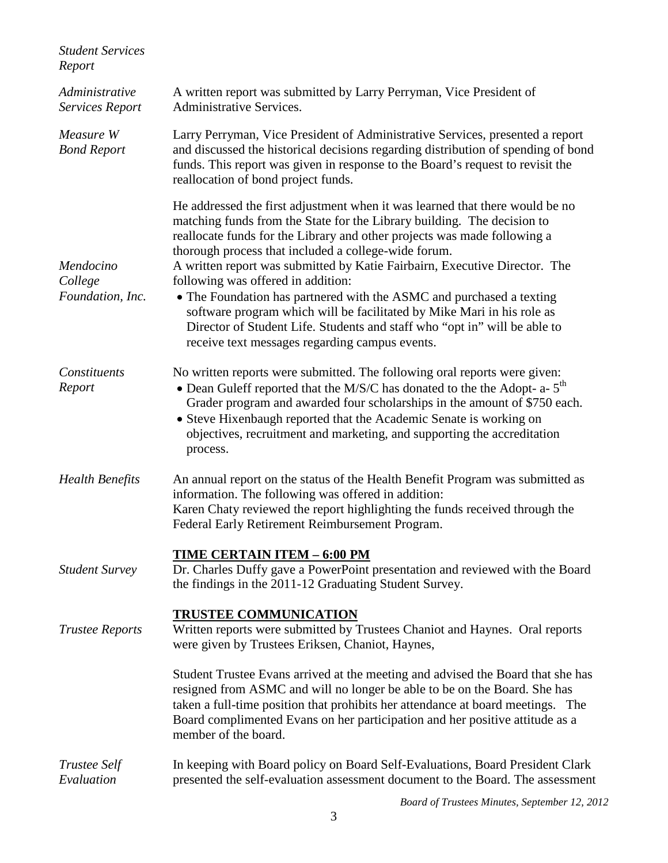| <b>Student Services</b><br>Report        |                                                                                                                                                                                                                                                                                                                                                                                                                                                                                                                                                                                                                                                                                                  |
|------------------------------------------|--------------------------------------------------------------------------------------------------------------------------------------------------------------------------------------------------------------------------------------------------------------------------------------------------------------------------------------------------------------------------------------------------------------------------------------------------------------------------------------------------------------------------------------------------------------------------------------------------------------------------------------------------------------------------------------------------|
| Administrative<br><b>Services Report</b> | A written report was submitted by Larry Perryman, Vice President of<br><b>Administrative Services.</b>                                                                                                                                                                                                                                                                                                                                                                                                                                                                                                                                                                                           |
| Measure W<br><b>Bond Report</b>          | Larry Perryman, Vice President of Administrative Services, presented a report<br>and discussed the historical decisions regarding distribution of spending of bond<br>funds. This report was given in response to the Board's request to revisit the<br>reallocation of bond project funds.                                                                                                                                                                                                                                                                                                                                                                                                      |
| Mendocino<br>College<br>Foundation, Inc. | He addressed the first adjustment when it was learned that there would be no<br>matching funds from the State for the Library building. The decision to<br>reallocate funds for the Library and other projects was made following a<br>thorough process that included a college-wide forum.<br>A written report was submitted by Katie Fairbairn, Executive Director. The<br>following was offered in addition:<br>• The Foundation has partnered with the ASMC and purchased a texting<br>software program which will be facilitated by Mike Mari in his role as<br>Director of Student Life. Students and staff who "opt in" will be able to<br>receive text messages regarding campus events. |
| Constituents<br>Report                   | No written reports were submitted. The following oral reports were given:<br>• Dean Guleff reported that the M/S/C has donated to the the Adopt- $a - 5$ <sup>th</sup><br>Grader program and awarded four scholarships in the amount of \$750 each.<br>• Steve Hixenbaugh reported that the Academic Senate is working on<br>objectives, recruitment and marketing, and supporting the accreditation<br>process.                                                                                                                                                                                                                                                                                 |
| <b>Health Benefits</b>                   | An annual report on the status of the Health Benefit Program was submitted as<br>information. The following was offered in addition:<br>Karen Chaty reviewed the report highlighting the funds received through the<br>Federal Early Retirement Reimbursement Program.                                                                                                                                                                                                                                                                                                                                                                                                                           |
| <b>Student Survey</b>                    | <u>TIME CERTAIN ITEM - 6:00 PM</u><br>Dr. Charles Duffy gave a PowerPoint presentation and reviewed with the Board<br>the findings in the 2011-12 Graduating Student Survey.                                                                                                                                                                                                                                                                                                                                                                                                                                                                                                                     |
| <b>Trustee Reports</b>                   | <b>TRUSTEE COMMUNICATION</b><br>Written reports were submitted by Trustees Chaniot and Haynes. Oral reports<br>were given by Trustees Eriksen, Chaniot, Haynes,                                                                                                                                                                                                                                                                                                                                                                                                                                                                                                                                  |
|                                          | Student Trustee Evans arrived at the meeting and advised the Board that she has<br>resigned from ASMC and will no longer be able to be on the Board. She has<br>taken a full-time position that prohibits her attendance at board meetings. The<br>Board complimented Evans on her participation and her positive attitude as a<br>member of the board.                                                                                                                                                                                                                                                                                                                                          |
| Trustee Self<br>Evaluation               | In keeping with Board policy on Board Self-Evaluations, Board President Clark<br>presented the self-evaluation assessment document to the Board. The assessment                                                                                                                                                                                                                                                                                                                                                                                                                                                                                                                                  |